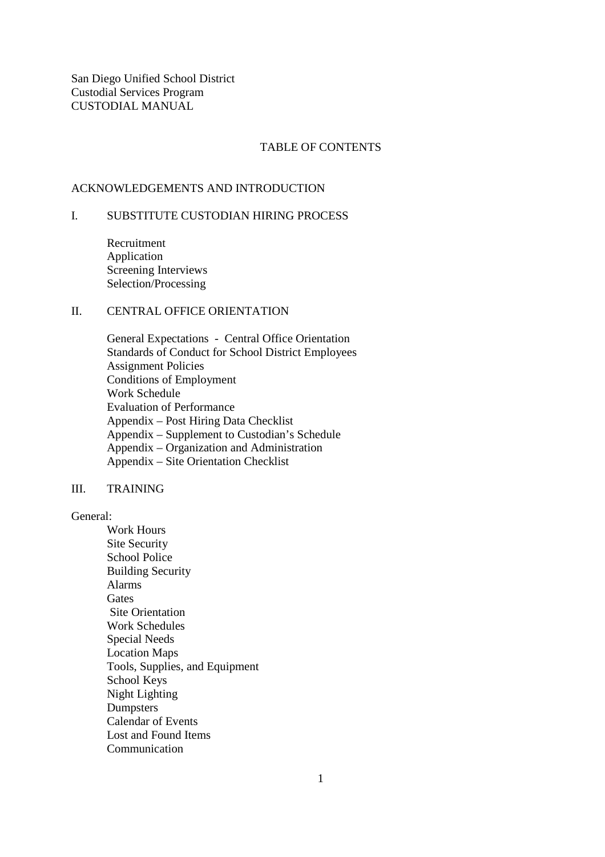San Diego Unified School District Custodial Services Program CUSTODIAL MANUAL

#### TABLE OF CONTENTS

### ACKNOWLEDGEMENTS AND INTRODUCTION

## I. SUBSTITUTE CUSTODIAN HIRING PROCESS

 Recruitment Application Screening Interviews Selection/Processing

## II. CENTRAL OFFICE ORIENTATION

 General Expectations - Central Office Orientation Standards of Conduct for School District Employees Assignment Policies Conditions of Employment Work Schedule Evaluation of Performance Appendix – Post Hiring Data Checklist Appendix – Supplement to Custodian's Schedule Appendix – Organization and Administration Appendix – Site Orientation Checklist

#### III. TRAINING

General:

 Work Hours Site Security School Police Building Security Alarms **Gates**  Site Orientation Work Schedules Special Needs Location Maps Tools, Supplies, and Equipment School Keys Night Lighting **Dumpsters**  Calendar of Events Lost and Found Items **Communication**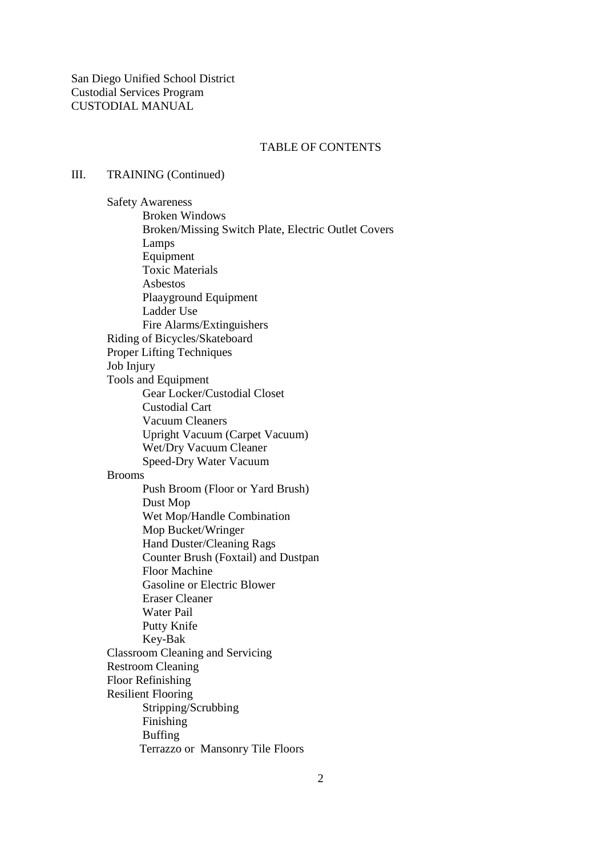## TABLE OF CONTENTS

#### III. TRAINING (Continued)

 Safety Awareness Broken Windows Broken/Missing Switch Plate, Electric Outlet Covers Lamps Equipment Toxic Materials Asbestos Plaayground Equipment Ladder Use Fire Alarms/Extinguishers Riding of Bicycles/Skateboard Proper Lifting Techniques Job Injury Tools and Equipment Gear Locker/Custodial Closet Custodial Cart Vacuum Cleaners Upright Vacuum (Carpet Vacuum) Wet/Dry Vacuum Cleaner Speed-Dry Water Vacuum Brooms Push Broom (Floor or Yard Brush) Dust Mop Wet Mop/Handle Combination Mop Bucket/Wringer Hand Duster/Cleaning Rags Counter Brush (Foxtail) and Dustpan Floor Machine Gasoline or Electric Blower Eraser Cleaner Water Pail Putty Knife Key-Bak Classroom Cleaning and Servicing Restroom Cleaning Floor Refinishing Resilient Flooring Stripping/Scrubbing Finishing Buffing Terrazzo or Mansonry Tile Floors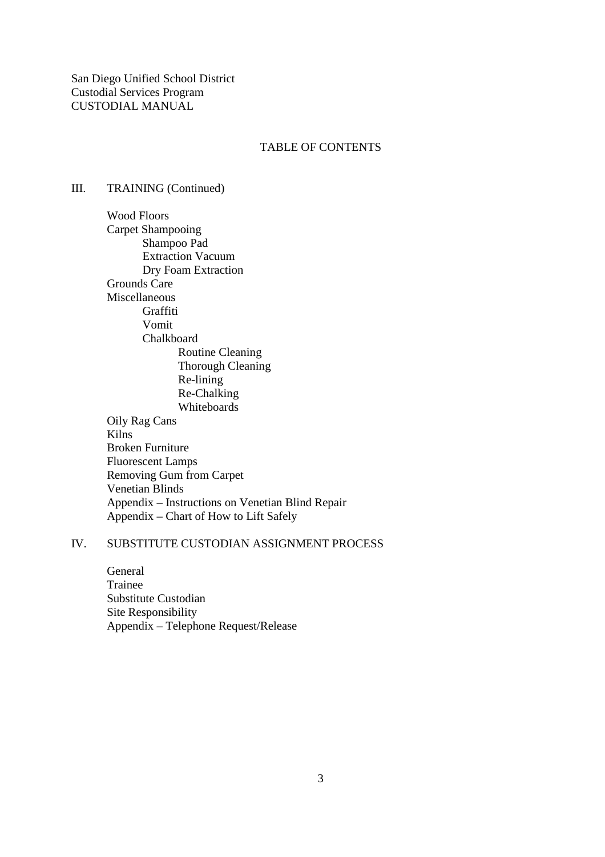San Diego Unified School District Custodial Services Program CUSTODIAL MANUAL

#### TABLE OF CONTENTS

# III. TRAINING (Continued)

 Wood Floors Carpet Shampooing Shampoo Pad Extraction Vacuum Dry Foam Extraction Grounds Care Miscellaneous Graffiti Vomit Chalkboard Routine Cleaning Thorough Cleaning Re-lining Re-Chalking Whiteboards Oily Rag Cans Kilns Broken Furniture Fluorescent Lamps Removing Gum from Carpet Venetian Blinds Appendix – Instructions on Venetian Blind Repair Appendix – Chart of How to Lift Safely

### IV. SUBSTITUTE CUSTODIAN ASSIGNMENT PROCESS

 General Trainee Substitute Custodian Site Responsibility Appendix – Telephone Request/Release